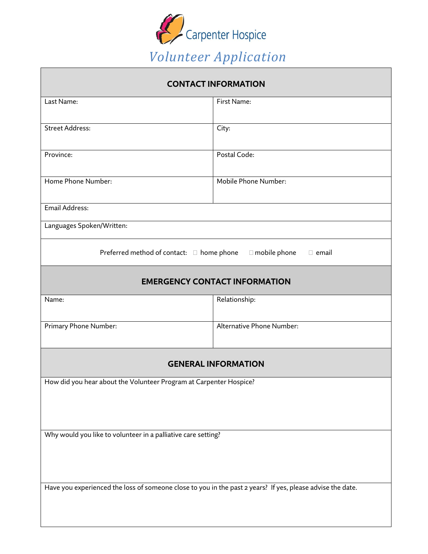

| <b>CONTACT INFORMATION</b>                                                                                 |                           |  |  |  |  |
|------------------------------------------------------------------------------------------------------------|---------------------------|--|--|--|--|
| Last Name:                                                                                                 | First Name:               |  |  |  |  |
| <b>Street Address:</b>                                                                                     | City:                     |  |  |  |  |
| Province:                                                                                                  | Postal Code:              |  |  |  |  |
| Home Phone Number:                                                                                         | Mobile Phone Number:      |  |  |  |  |
| Email Address:                                                                                             |                           |  |  |  |  |
| Languages Spoken/Written:                                                                                  |                           |  |  |  |  |
| Preferred method of contact: □ home phone<br>$\Box$ mobile phone<br>$\Box$ email                           |                           |  |  |  |  |
| <b>EMERGENCY CONTACT INFORMATION</b>                                                                       |                           |  |  |  |  |
| Name:                                                                                                      | Relationship:             |  |  |  |  |
| Primary Phone Number:                                                                                      | Alternative Phone Number: |  |  |  |  |
| <b>GENERAL INFORMATION</b>                                                                                 |                           |  |  |  |  |
| How did you hear about the Volunteer Program at Carpenter Hospice?                                         |                           |  |  |  |  |
|                                                                                                            |                           |  |  |  |  |
| Why would you like to volunteer in a palliative care setting?                                              |                           |  |  |  |  |
|                                                                                                            |                           |  |  |  |  |
| Have you experienced the loss of someone close to you in the past 2 years? If yes, please advise the date. |                           |  |  |  |  |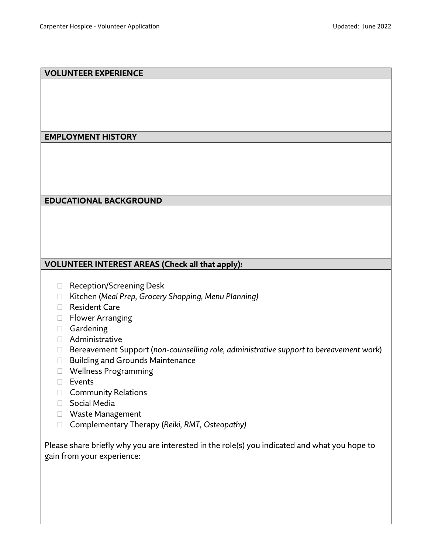## **VOLUNTEER EXPERIENCE**

## **EMPLOYMENT HISTORY**

## **EDUCATIONAL BACKGROUND**

## **VOLUNTEER INTEREST AREAS (Check all that apply):**

- □ Reception/Screening Desk
- Kitchen (*Meal Prep, Grocery Shopping, Menu Planning)*
- Resident Care
- $\Box$  Flower Arranging
- Gardening
- Administrative
- Bereavement Support (*non-counselling role, administrative support to bereavement work*)
- □ Building and Grounds Maintenance
- Wellness Programming
- D Events
- Community Relations
- □ Social Media
- Waste Management
- Complementary Therapy (*Reiki, RMT, Osteopathy)*

Please share briefly why you are interested in the role(s) you indicated and what you hope to gain from your experience: